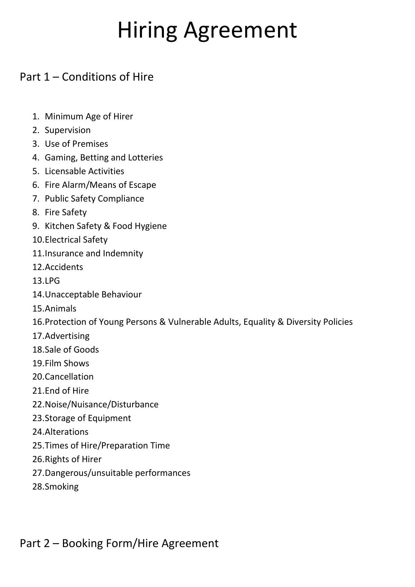# Hiring Agreement

# Part 1 – Conditions of Hire

- 1. Minimum Age of Hirer
- 2. Supervision
- 3. Use of Premises
- 4. Gaming, Betting and Lotteries
- 5. Licensable Activities
- 6. Fire Alarm/Means of Escape
- 7. Public Safety Compliance
- 8. Fire Safety
- 9. Kitchen Safety & Food Hygiene
- 10.Electrical Safety
- 11.Insurance and Indemnity
- 12.Accidents
- 13.LPG
- 14.Unacceptable Behaviour
- 15.Animals
- 16.Protection of Young Persons & Vulnerable Adults, Equality & Diversity Policies
- 17.Advertising
- 18.Sale of Goods
- 19.Film Shows
- 20.Cancellation
- 21.End of Hire
- 22.Noise/Nuisance/Disturbance
- 23.Storage of Equipment
- 24.Alterations
- 25.Times of Hire/Preparation Time
- 26.Rights of Hirer
- 27.Dangerous/unsuitable performances
- 28.Smoking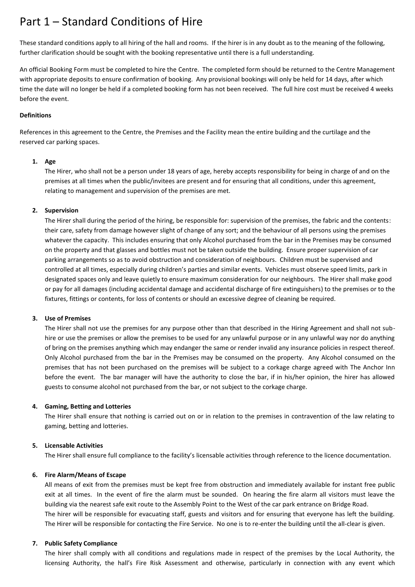# Part 1 – Standard Conditions of Hire

These standard conditions apply to all hiring of the hall and rooms. If the hirer is in any doubt as to the meaning of the following, further clarification should be sought with the booking representative until there is a full understanding.

An official Booking Form must be completed to hire the Centre. The completed form should be returned to the Centre Management with appropriate deposits to ensure confirmation of booking. Any provisional bookings will only be held for 14 days, after which time the date will no longer be held if a completed booking form has not been received. The full hire cost must be received 4 weeks before the event.

#### **Definitions**

References in this agreement to the Centre, the Premises and the Facility mean the entire building and the curtilage and the reserved car parking spaces.

#### **1. Age**

The Hirer, who shall not be a person under 18 years of age, hereby accepts responsibility for being in charge of and on the premises at all times when the public/invitees are present and for ensuring that all conditions, under this agreement, relating to management and supervision of the premises are met.

#### **2. Supervision**

The Hirer shall during the period of the hiring, be responsible for: supervision of the premises, the fabric and the contents: their care, safety from damage however slight of change of any sort; and the behaviour of all persons using the premises whatever the capacity. This includes ensuring that only Alcohol purchased from the bar in the Premises may be consumed on the property and that glasses and bottles must not be taken outside the building. Ensure proper supervision of car parking arrangements so as to avoid obstruction and consideration of neighbours. Children must be supervised and controlled at all times, especially during children's parties and similar events. Vehicles must observe speed limits, park in designated spaces only and leave quietly to ensure maximum consideration for our neighbours. The Hirer shall make good or pay for all damages (including accidental damage and accidental discharge of fire extinguishers) to the premises or to the fixtures, fittings or contents, for loss of contents or should an excessive degree of cleaning be required.

#### **3. Use of Premises**

The Hirer shall not use the premises for any purpose other than that described in the Hiring Agreement and shall not subhire or use the premises or allow the premises to be used for any unlawful purpose or in any unlawful way nor do anything of bring on the premises anything which may endanger the same or render invalid any insurance policies in respect thereof. Only Alcohol purchased from the bar in the Premises may be consumed on the property. Any Alcohol consumed on the premises that has not been purchased on the premises will be subject to a corkage charge agreed with The Anchor Inn before the event. The bar manager will have the authority to close the bar, if in his/her opinion, the hirer has allowed guests to consume alcohol not purchased from the bar, or not subject to the corkage charge.

# **4. Gaming, Betting and Lotteries**

The Hirer shall ensure that nothing is carried out on or in relation to the premises in contravention of the law relating to gaming, betting and lotteries.

# **5. Licensable Activities**

The Hirer shall ensure full compliance to the facility's licensable activities through reference to the licence documentation.

# **6. Fire Alarm/Means of Escape**

All means of exit from the premises must be kept free from obstruction and immediately available for instant free public exit at all times. In the event of fire the alarm must be sounded. On hearing the fire alarm all visitors must leave the building via the nearest safe exit route to the Assembly Point to the West of the car park entrance on Bridge Road. The hirer will be responsible for evacuating staff, guests and visitors and for ensuring that everyone has left the building. The Hirer will be responsible for contacting the Fire Service. No one is to re-enter the building until the all-clear is given.

#### **7. Public Safety Compliance**

The hirer shall comply with all conditions and regulations made in respect of the premises by the Local Authority, the licensing Authority, the hall's Fire Risk Assessment and otherwise, particularly in connection with any event which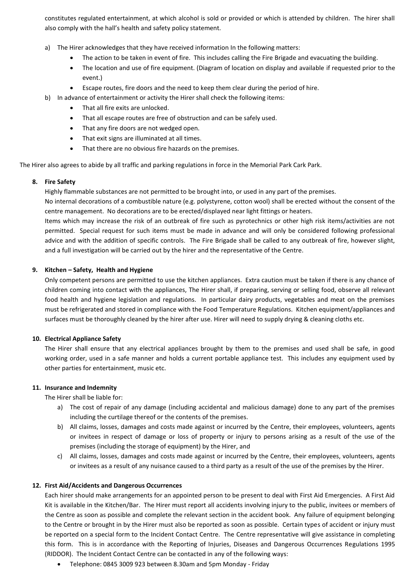constitutes regulated entertainment, at which alcohol is sold or provided or which is attended by children. The hirer shall also comply with the hall's health and safety policy statement.

- a) The Hirer acknowledges that they have received information In the following matters:
	- The action to be taken in event of fire. This includes calling the Fire Brigade and evacuating the building.
	- The location and use of fire equipment. (Diagram of location on display and available if requested prior to the event.)
	- Escape routes, fire doors and the need to keep them clear during the period of hire.
- b) In advance of entertainment or activity the Hirer shall check the following items:
	- That all fire exits are unlocked.
	- That all escape routes are free of obstruction and can be safely used.
	- That any fire doors are not wedged open.
	- That exit signs are illuminated at all times.
	- That there are no obvious fire hazards on the premises.

The Hirer also agrees to abide by all traffic and parking regulations in force in the Memorial Park Cark Park.

# **8. Fire Safety**

Highly flammable substances are not permitted to be brought into, or used in any part of the premises.

No internal decorations of a combustible nature (e.g. polystyrene, cotton wool) shall be erected without the consent of the centre management. No decorations are to be erected/displayed near light fittings or heaters.

Items which may increase the risk of an outbreak of fire such as pyrotechnics or other high risk items/activities are not permitted. Special request for such items must be made in advance and will only be considered following professional advice and with the addition of specific controls. The Fire Brigade shall be called to any outbreak of fire, however slight, and a full investigation will be carried out by the hirer and the representative of the Centre.

# **9. Kitchen – Safety, Health and Hygiene**

Only competent persons are permitted to use the kitchen appliances. Extra caution must be taken if there is any chance of children coming into contact with the appliances, The Hirer shall, if preparing, serving or selling food, observe all relevant food health and hygiene legislation and regulations. In particular dairy products, vegetables and meat on the premises must be refrigerated and stored in compliance with the Food Temperature Regulations. Kitchen equipment/appliances and surfaces must be thoroughly cleaned by the hirer after use. Hirer will need to supply drying & cleaning cloths etc.

# **10. Electrical Appliance Safety**

The Hirer shall ensure that any electrical appliances brought by them to the premises and used shall be safe, in good working order, used in a safe manner and holds a current portable appliance test. This includes any equipment used by other parties for entertainment, music etc.

# **11. Insurance and Indemnity**

The Hirer shall be liable for:

- a) The cost of repair of any damage (including accidental and malicious damage) done to any part of the premises including the curtilage thereof or the contents of the premises.
- b) All claims, losses, damages and costs made against or incurred by the Centre, their employees, volunteers, agents or invitees in respect of damage or loss of property or injury to persons arising as a result of the use of the premises (including the storage of equipment) by the Hirer, and
- c) All claims, losses, damages and costs made against or incurred by the Centre, their employees, volunteers, agents or invitees as a result of any nuisance caused to a third party as a result of the use of the premises by the Hirer.

# **12. First Aid/Accidents and Dangerous Occurrences**

Each hirer should make arrangements for an appointed person to be present to deal with First Aid Emergencies. A First Aid Kit is available in the Kitchen/Bar. The Hirer must report all accidents involving injury to the public, invitees or members of the Centre as soon as possible and complete the relevant section in the accident book. Any failure of equipment belonging to the Centre or brought in by the Hirer must also be reported as soon as possible. Certain types of accident or injury must be reported on a special form to the Incident Contact Centre. The Centre representative will give assistance in completing this form. This is in accordance with the Reporting of Injuries, Diseases and Dangerous Occurrences Regulations 1995 (RIDDOR). The Incident Contact Centre can be contacted in any of the following ways:

• Telephone: 0845 3009 923 between 8.30am and 5pm Monday - Friday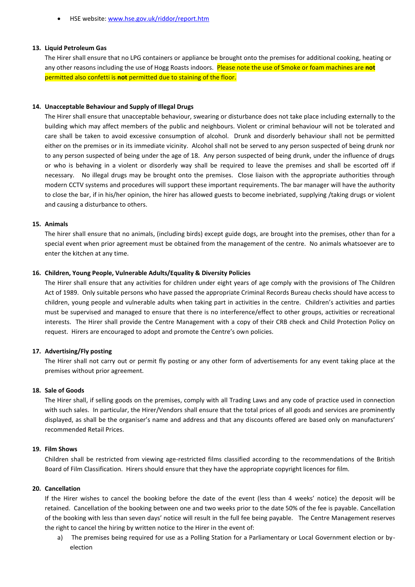• HSE website: [www.hse.gov.uk/](http://www.hse.gov.uk/)riddor/report.htm

#### **13. Liquid Petroleum Gas**

The Hirer shall ensure that no LPG containers or appliance be brought onto the premises for additional cooking, heating or any other reasons including the use of Hogg Roasts indoors. Please note the use of Smoke or foam machines are **not** permitted also confetti is **not** permitted due to staining of the floor.

#### **14. Unacceptable Behaviour and Supply of Illegal Drugs**

The Hirer shall ensure that unacceptable behaviour, swearing or disturbance does not take place including externally to the building which may affect members of the public and neighbours. Violent or criminal behaviour will not be tolerated and care shall be taken to avoid excessive consumption of alcohol. Drunk and disorderly behaviour shall not be permitted either on the premises or in its immediate vicinity. Alcohol shall not be served to any person suspected of being drunk nor to any person suspected of being under the age of 18. Any person suspected of being drunk, under the influence of drugs or who is behaving in a violent or disorderly way shall be required to leave the premises and shall be escorted off if necessary. No illegal drugs may be brought onto the premises. Close liaison with the appropriate authorities through modern CCTV systems and procedures will support these important requirements. The bar manager will have the authority to close the bar, if in his/her opinion, the hirer has allowed guests to become inebriated, supplying /taking drugs or violent and causing a disturbance to others.

#### **15. Animals**

The hirer shall ensure that no animals, (including birds) except guide dogs, are brought into the premises, other than for a special event when prior agreement must be obtained from the management of the centre. No animals whatsoever are to enter the kitchen at any time.

#### **16. Children, Young People, Vulnerable Adults/Equality & Diversity Policies**

The Hirer shall ensure that any activities for children under eight years of age comply with the provisions of The Children Act of 1989. Only suitable persons who have passed the appropriate Criminal Records Bureau checks should have access to children, young people and vulnerable adults when taking part in activities in the centre. Children's activities and parties must be supervised and managed to ensure that there is no interference/effect to other groups, activities or recreational interests. The Hirer shall provide the Centre Management with a copy of their CRB check and Child Protection Policy on request. Hirers are encouraged to adopt and promote the Centre's own policies.

# **17. Advertising/Fly posting**

The Hirer shall not carry out or permit fly posting or any other form of advertisements for any event taking place at the premises without prior agreement.

#### **18. Sale of Goods**

The Hirer shall, if selling goods on the premises, comply with all Trading Laws and any code of practice used in connection with such sales. In particular, the Hirer/Vendors shall ensure that the total prices of all goods and services are prominently displayed, as shall be the organiser's name and address and that any discounts offered are based only on manufacturers' recommended Retail Prices.

#### **19. Film Shows**

Children shall be restricted from viewing age-restricted films classified according to the recommendations of the British Board of Film Classification. Hirers should ensure that they have the appropriate copyright licences for film.

#### **20. Cancellation**

If the Hirer wishes to cancel the booking before the date of the event (less than 4 weeks' notice) the deposit will be retained. Cancellation of the booking between one and two weeks prior to the date 50% of the fee is payable. Cancellation of the booking with less than seven days' notice will result in the full fee being payable. The Centre Management reserves the right to cancel the hiring by written notice to the Hirer in the event of:

a) The premises being required for use as a Polling Station for a Parliamentary or Local Government election or byelection